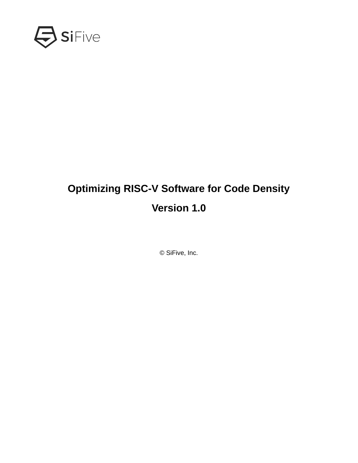

# **Optimizing RISC-V Software for Code Density Version 1.0**

© SiFive, Inc.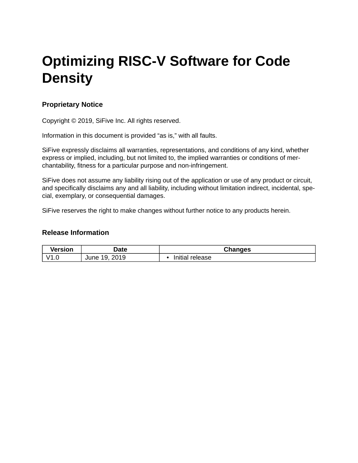# **Optimizing RISC-V Software for Code Density**

### **Proprietary Notice**

Copyright © 2019, SiFive Inc. All rights reserved.

Information in this document is provided "as is," with all faults.

SiFive expressly disclaims all warranties, representations, and conditions of any kind, whether express or implied, including, but not limited to, the implied warranties or conditions of merchantability, fitness for a particular purpose and non-infringement.

SiFive does not assume any liability rising out of the application or use of any product or circuit, and specifically disclaims any and all liability, including without limitation indirect, incidental, special, exemplary, or consequential damages.

SiFive reserves the right to make changes without further notice to any products herein.

#### **Release Information**

| Version | <b>Date</b>               | Changes         |
|---------|---------------------------|-----------------|
| V1.0    | 2019<br>1 Q<br>June<br>∸∽ | Initial release |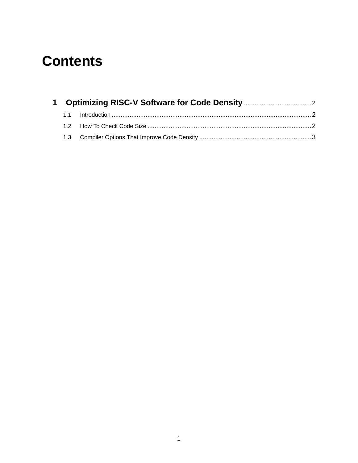# **Contents**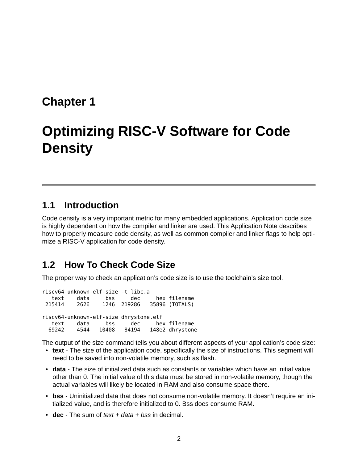## <span id="page-3-0"></span>**[Chapter 1](#page-3-0)**

# **[Optimizing RISC-V Software for Code](#page-3-0) Density**

### <span id="page-3-1"></span>**[1.1](#page-3-1) [Introduction](#page-3-1)**

Code density is a very important metric for many embedded applications. Application code size is highly dependent on how the compiler and linker are used. This Application Note describes how to properly measure code density, as well as common compiler and linker flags to help optimize a RISC-V application for code density.

### <span id="page-3-2"></span>**[1.2 How To Check Code Size](#page-3-2)**

The proper way to check an application's code size is to use the toolchain's size tool.

riscv64-unknown-elf-size -t libc.a text data bss dec hex filename 215414 2626 1246 219286 35896 (TOTALS) riscv64-unknown-elf-size dhrystone.elf text data bss dec hex filename 69242 4544 10408 84194 148e2 dhrystone

The output of the size command tells you about different aspects of your application's code size:

- **text** The size of the application code, specifically the size of instructions. This segment will need to be saved into non-volatile memory, such as flash.
- **data** The size of initialized data such as constants or variables which have an initial value other than 0. The initial value of this data must be stored in non-volatile memory, though the actual variables will likely be located in RAM and also consume space there.
- **bss** Uninitialized data that does not consume non-volatile memory. It doesn't require an initialized value, and is therefore initialized to 0. Bss does consume RAM.
- **dec** The sum of *text + data + bss* in decimal.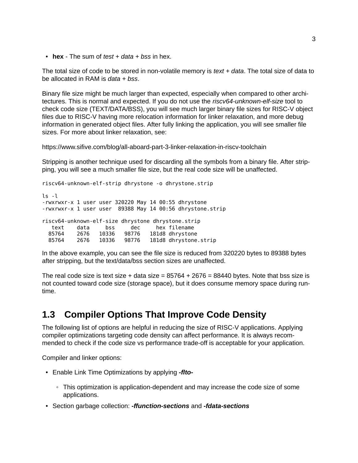• **hex** - The sum of *test + data + bss* in hex.

The total size of code to be stored in non-volatile memory is *text + data*. The total size of data to be allocated in RAM is *data + bss*.

Binary file size might be much larger than expected, especially when compared to other architectures. This is normal and expected. If you do not use the *riscv64-unknown-elf-size* tool to check code size (TEXT/DATA/BSS), you will see much larger binary file sizes for RISC-V object files due to RISC-V having more relocation information for linker relaxation, and more debug information in generated object files. After fully linking the application, you will see smaller file sizes. For more about linker relaxation, see:

<https://www.sifive.com/blog/all-aboard-part-3-linker-relaxation-in-riscv-toolchain>

Stripping is another technique used for discarding all the symbols from a binary file. After stripping, you will see a much smaller file size, but the real code size will be unaffected.

riscv64-unknown-elf-strip dhrystone -o dhrystone.strip

```
ls -l
-rwxrwxr-x 1 user user 320220 May 14 00:55 dhrystone
-rwxrwxr-x 1 user user 89388 May 14 00:56 dhrystone.strip
riscv64-unknown-elf-size dhrystone dhrystone.strip
  text data bss dec hex filename
 85764 2676 10336 98776 181d8 dhrystone
 85764 2676 10336 98776 181d8 dhrystone.strip
```
In the above example, you can see the file size is reduced from 320220 bytes to 89388 bytes after stripping, but the text/data/bss section sizes are unaffected.

The real code size is text size + data size =  $85764 + 2676 = 88440$  bytes. Note that bss size is not counted toward code size (storage space), but it does consume memory space during runtime.

### <span id="page-4-0"></span>**[1.3 Compiler Options That Improve Code Density](#page-4-0)**

The following list of options are helpful in reducing the size of RISC-V applications. Applying compiler optimizations targeting code density can affect performance. It is always recommended to check if the code size vs performance trade-off is acceptable for your application.

Compiler and linker options:

- Enable Link Time Optimizations by applying *-flto-*
	- This optimization is application-dependent and may increase the code size of some applications.
- Section garbage collection: *-ffunction-sections* and *-fdata-sections*